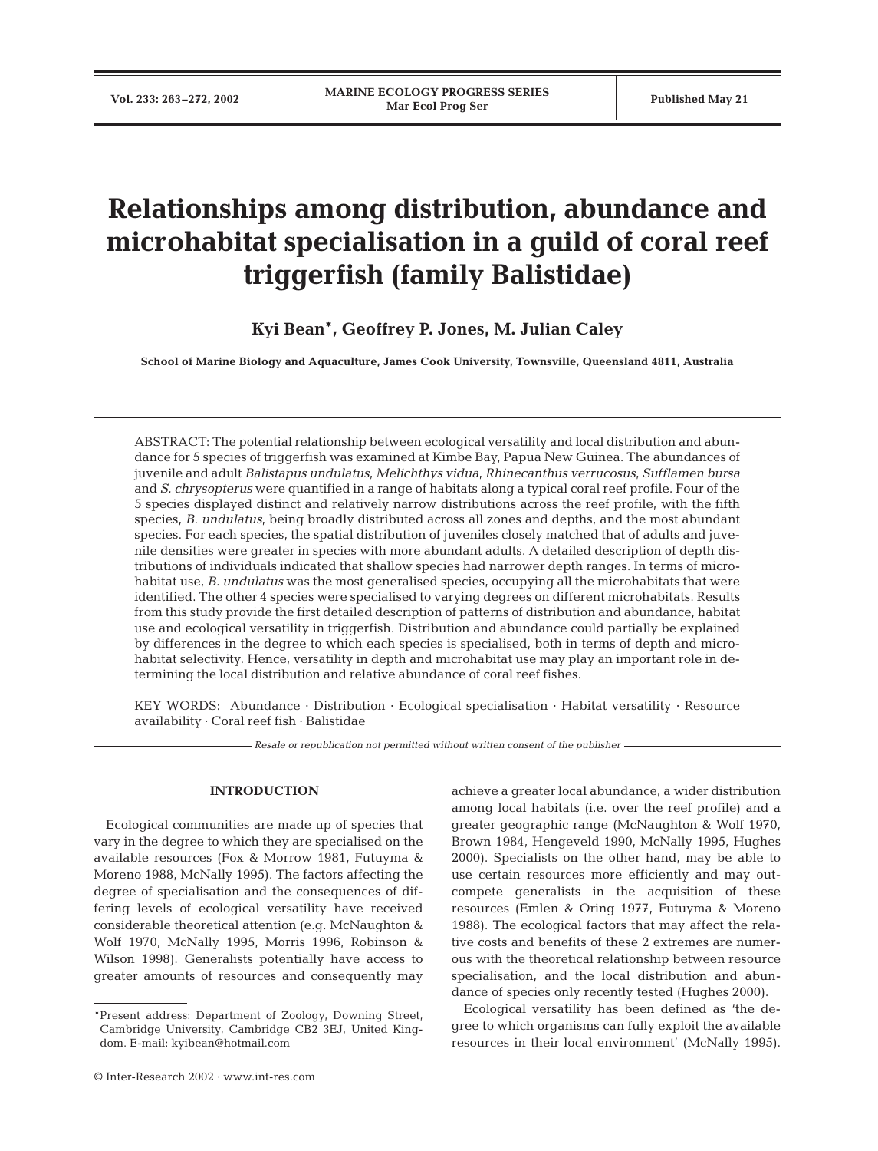# **Relationships among distribution, abundance and microhabitat specialisation in a guild of coral reef triggerfish (family Balistidae)**

**Kyi Bean\*, Geoffrey P. Jones, M. Julian Caley**

**School of Marine Biology and Aquaculture, James Cook University, Townsville, Queensland 4811, Australia**

ABSTRACT: The potential relationship between ecological versatility and local distribution and abundance for 5 species of triggerfish was examined at Kimbe Bay, Papua New Guinea. The abundances of juvenile and adult *Balistapus undulatus, Melichthys vidua, Rhinecanthus verrucosus, Sufflamen bursa* and *S. chrysopterus* were quantified in a range of habitats along a typical coral reef profile. Four of the 5 species displayed distinct and relatively narrow distributions across the reef profile, with the fifth species, *B. undulatus*, being broadly distributed across all zones and depths, and the most abundant species. For each species, the spatial distribution of juveniles closely matched that of adults and juvenile densities were greater in species with more abundant adults. A detailed description of depth distributions of individuals indicated that shallow species had narrower depth ranges. In terms of microhabitat use, *B. undulatus* was the most generalised species, occupying all the microhabitats that were identified. The other 4 species were specialised to varying degrees on different microhabitats. Results from this study provide the first detailed description of patterns of distribution and abundance, habitat use and ecological versatility in triggerfish. Distribution and abundance could partially be explained by differences in the degree to which each species is specialised, both in terms of depth and microhabitat selectivity. Hence, versatility in depth and microhabitat use may play an important role in determining the local distribution and relative abundance of coral reef fishes.

KEY WORDS: Abundance · Distribution · Ecological specialisation · Habitat versatility · Resource availability · Coral reef fish · Balistidae

*Resale or republication not permitted without written consent of the publisher*

#### **INTRODUCTION**

Ecological communities are made up of species that vary in the degree to which they are specialised on the available resources (Fox & Morrow 1981, Futuyma & Moreno 1988, McNally 1995). The factors affecting the degree of specialisation and the consequences of differing levels of ecological versatility have received considerable theoretical attention (e.g. McNaughton & Wolf 1970, McNally 1995, Morris 1996, Robinson & Wilson 1998). Generalists potentially have access to greater amounts of resources and consequently may

achieve a greater local abundance, a wider distribution among local habitats (i.e. over the reef profile) and a greater geographic range (McNaughton & Wolf 1970, Brown 1984, Hengeveld 1990, McNally 1995, Hughes 2000). Specialists on the other hand, may be able to use certain resources more efficiently and may outcompete generalists in the acquisition of these resources (Emlen & Oring 1977, Futuyma & Moreno 1988). The ecological factors that may affect the relative costs and benefits of these 2 extremes are numerous with the theoretical relationship between resource specialisation, and the local distribution and abundance of species only recently tested (Hughes 2000).

Ecological versatility has been defined as 'the degree to which organisms can fully exploit the available resources in their local environment' (McNally 1995).

<sup>\*</sup>Present address: Department of Zoology, Downing Street, Cambridge University, Cambridge CB2 3EJ, United Kingdom. E-mail: kyibean@hotmail.com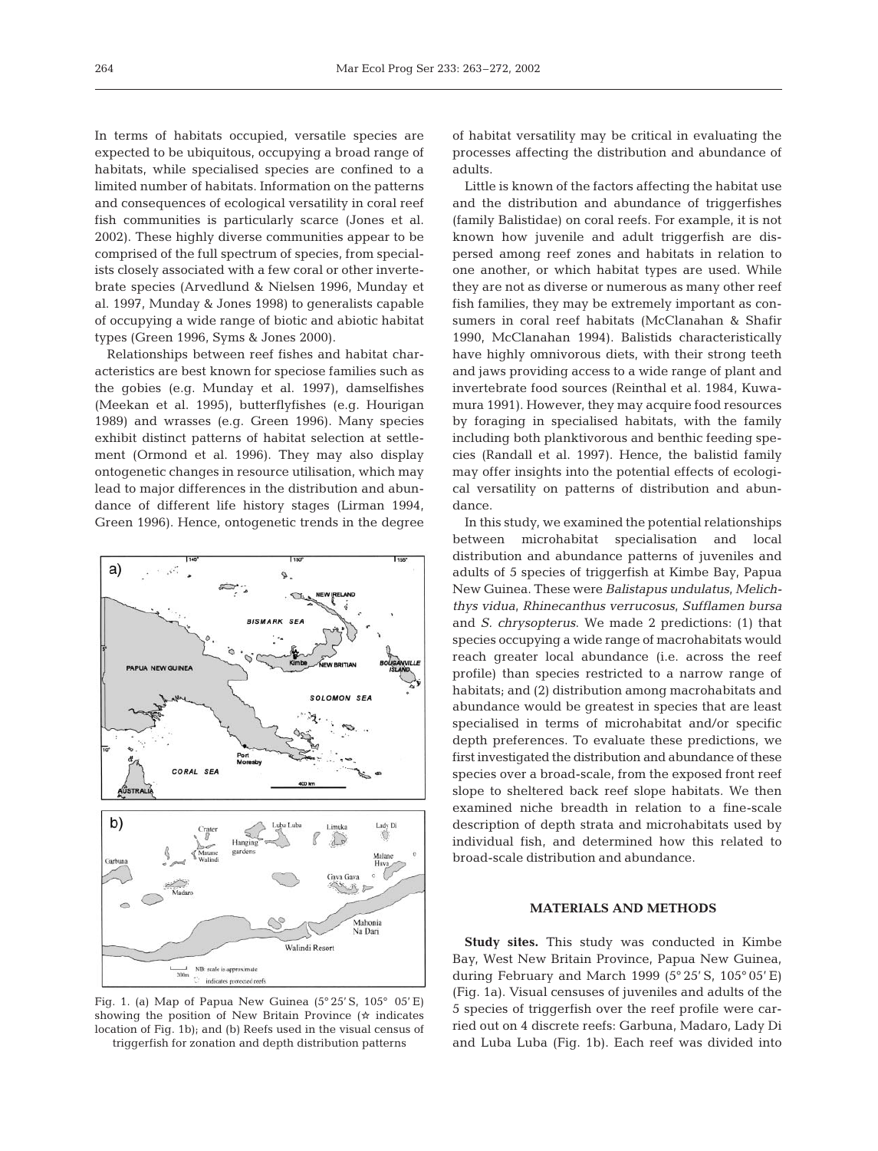In terms of habitats occupied, versatile species are expected to be ubiquitous, occupying a broad range of habitats, while specialised species are confined to a limited number of habitats. Information on the patterns and consequences of ecological versatility in coral reef fish communities is particularly scarce (Jones et al. 2002). These highly diverse communities appear to be comprised of the full spectrum of species, from specialists closely associated with a few coral or other invertebrate species (Arvedlund & Nielsen 1996, Munday et al. 1997, Munday & Jones 1998) to generalists capable of occupying a wide range of biotic and abiotic habitat types (Green 1996, Syms & Jones 2000).

Relationships between reef fishes and habitat characteristics are best known for speciose families such as the gobies (e.g. Munday et al. 1997), damselfishes (Meekan et al. 1995), butterflyfishes (e.g. Hourigan 1989) and wrasses (e.g. Green 1996). Many species exhibit distinct patterns of habitat selection at settlement (Ormond et al. 1996). They may also display ontogenetic changes in resource utilisation, which may lead to major differences in the distribution and abundance of different life history stages (Lirman 1994, Green 1996). Hence, ontogenetic trends in the degree



Fig. 1. (a) Map of Papua New Guinea (5° 25' S, 105° 05' E) showing the position of New Britain Province ( $\star$  indicates location of Fig. 1b); and (b) Reefs used in the visual census of triggerfish for zonation and depth distribution patterns

of habitat versatility may be critical in evaluating the processes affecting the distribution and abundance of adults.

Little is known of the factors affecting the habitat use and the distribution and abundance of triggerfishes (family Balistidae) on coral reefs. For example, it is not known how juvenile and adult triggerfish are dispersed among reef zones and habitats in relation to one another, or which habitat types are used. While they are not as diverse or numerous as many other reef fish families, they may be extremely important as consumers in coral reef habitats (McClanahan & Shafir 1990, McClanahan 1994). Balistids characteristically have highly omnivorous diets, with their strong teeth and jaws providing access to a wide range of plant and invertebrate food sources (Reinthal et al. 1984, Kuwamura 1991). However, they may acquire food resources by foraging in specialised habitats, with the family including both planktivorous and benthic feeding species (Randall et al. 1997). Hence, the balistid family may offer insights into the potential effects of ecological versatility on patterns of distribution and abundance.

In this study, we examined the potential relationships between microhabitat specialisation and local distribution and abundance patterns of juveniles and adults of 5 species of triggerfish at Kimbe Bay, Papua New Guinea. These were *Balistapus undulatus, Melichthys vidua, Rhinecanthus verrucosus, Sufflamen bursa* and *S. chrysopterus*. We made 2 predictions: (1) that species occupying a wide range of macrohabitats would reach greater local abundance (i.e. across the reef profile) than species restricted to a narrow range of habitats; and (2) distribution among macrohabitats and abundance would be greatest in species that are least specialised in terms of microhabitat and/or specific depth preferences. To evaluate these predictions, we first investigated the distribution and abundance of these species over a broad-scale, from the exposed front reef slope to sheltered back reef slope habitats. We then examined niche breadth in relation to a fine-scale description of depth strata and microhabitats used by individual fish, and determined how this related to broad-scale distribution and abundance.

## **MATERIALS AND METHODS**

**Study sites.** This study was conducted in Kimbe Bay, West New Britain Province, Papua New Guinea, during February and March 1999 (5° 25' S, 105° 05' E) (Fig. 1a). Visual censuses of juveniles and adults of the 5 species of triggerfish over the reef profile were carried out on 4 discrete reefs: Garbuna, Madaro, Lady Di and Luba Luba (Fig. 1b). Each reef was divided into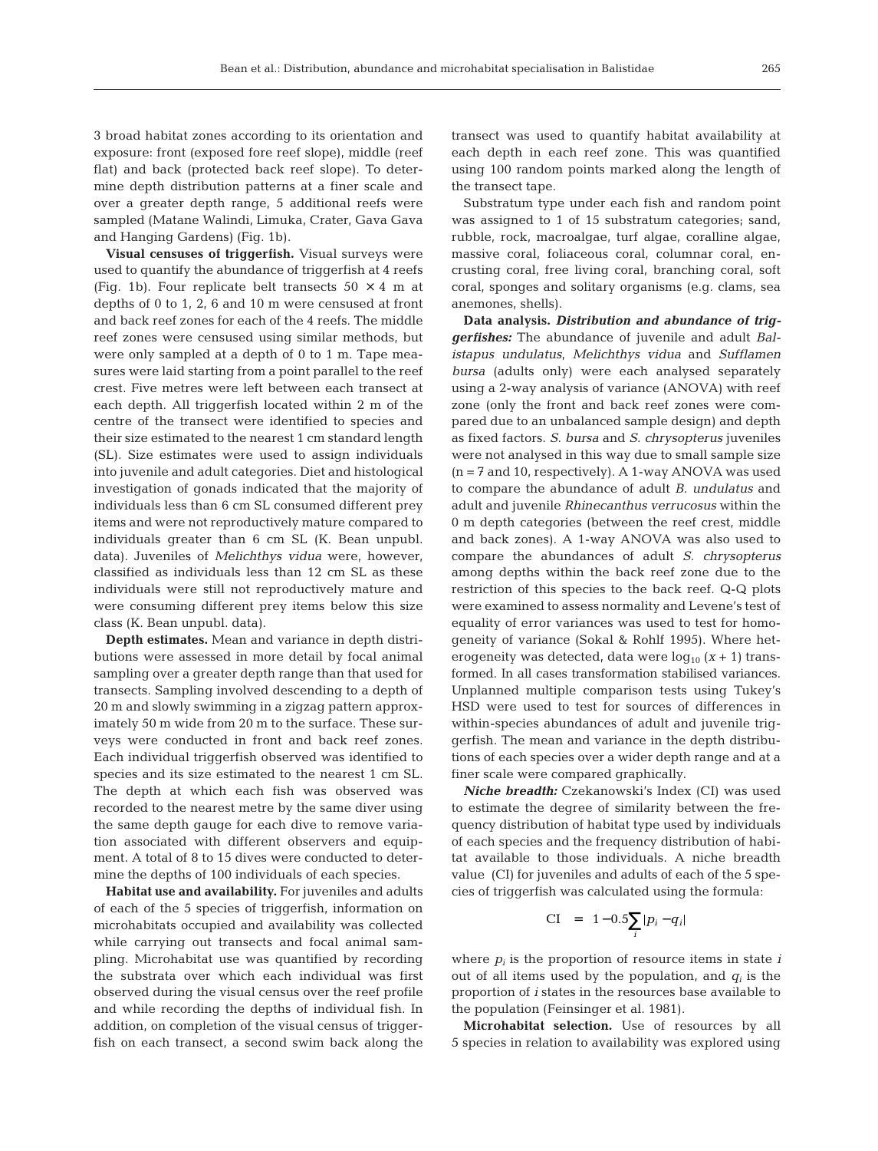3 broad habitat zones according to its orientation and exposure: front (exposed fore reef slope), middle (reef flat) and back (protected back reef slope). To determine depth distribution patterns at a finer scale and over a greater depth range, 5 additional reefs were sampled (Matane Walindi, Limuka, Crater, Gava Gava and Hanging Gardens) (Fig. 1b).

**Visual censuses of triggerfish.** Visual surveys were used to quantify the abundance of triggerfish at 4 reefs (Fig. 1b). Four replicate belt transects  $50 \times 4$  m at depths of 0 to 1, 2, 6 and 10 m were censused at front and back reef zones for each of the 4 reefs. The middle reef zones were censused using similar methods, but were only sampled at a depth of 0 to 1 m. Tape measures were laid starting from a point parallel to the reef crest. Five metres were left between each transect at each depth. All triggerfish located within 2 m of the centre of the transect were identified to species and their size estimated to the nearest 1 cm standard length (SL). Size estimates were used to assign individuals into juvenile and adult categories. Diet and histological investigation of gonads indicated that the majority of individuals less than 6 cm SL consumed different prey items and were not reproductively mature compared to individuals greater than 6 cm SL (K. Bean unpubl. data). Juveniles of *Melichthys vidua* were, however, classified as individuals less than 12 cm SL as these individuals were still not reproductively mature and were consuming different prey items below this size class (K. Bean unpubl. data).

**Depth estimates.** Mean and variance in depth distributions were assessed in more detail by focal animal sampling over a greater depth range than that used for transects. Sampling involved descending to a depth of 20 m and slowly swimming in a zigzag pattern approximately 50 m wide from 20 m to the surface. These surveys were conducted in front and back reef zones. Each individual triggerfish observed was identified to species and its size estimated to the nearest 1 cm SL. The depth at which each fish was observed was recorded to the nearest metre by the same diver using the same depth gauge for each dive to remove variation associated with different observers and equipment. A total of 8 to 15 dives were conducted to determine the depths of 100 individuals of each species.

**Habitat use and availability.** For juveniles and adults of each of the 5 species of triggerfish, information on microhabitats occupied and availability was collected while carrying out transects and focal animal sampling. Microhabitat use was quantified by recording the substrata over which each individual was first observed during the visual census over the reef profile and while recording the depths of individual fish. In addition, on completion of the visual census of triggerfish on each transect, a second swim back along the transect was used to quantify habitat availability at each depth in each reef zone. This was quantified using 100 random points marked along the length of the transect tape.

Substratum type under each fish and random point was assigned to 1 of 15 substratum categories; sand, rubble, rock, macroalgae, turf algae, coralline algae, massive coral, foliaceous coral, columnar coral, encrusting coral, free living coral, branching coral, soft coral, sponges and solitary organisms (e.g. clams, sea anemones, shells).

**Data analysis.** *Distribution and abundance of triggerfishes:* The abundance of juvenile and adult *Balistapus undulatus, Melichthys vidua* and *Sufflamen bursa* (adults only) were each analysed separately using a 2-way analysis of variance (ANOVA) with reef zone (only the front and back reef zones were compared due to an unbalanced sample design) and depth as fixed factors. *S. bursa* and *S. chrysopterus* juveniles were not analysed in this way due to small sample size (n = 7 and 10, respectively). A 1-way ANOVA was used to compare the abundance of adult *B. undulatus* and adult and juvenile *Rhinecanthus verrucosus* within the 0 m depth categories (between the reef crest, middle and back zones). A 1-way ANOVA was also used to compare the abundances of adult *S. chrysopterus* among depths within the back reef zone due to the restriction of this species to the back reef. Q-Q plots were examined to assess normality and Levene's test of equality of error variances was used to test for homogeneity of variance (Sokal & Rohlf 1995). Where heterogeneity was detected, data were  $log_{10} (x + 1)$  transformed. In all cases transformation stabilised variances. Unplanned multiple comparison tests using Tukey's HSD were used to test for sources of differences in within-species abundances of adult and juvenile triggerfish. The mean and variance in the depth distributions of each species over a wider depth range and at a finer scale were compared graphically.

*Niche breadth:* Czekanowski's Index (CI) was used to estimate the degree of similarity between the frequency distribution of habitat type used by individuals of each species and the frequency distribution of habitat available to those individuals. A niche breadth value (CI) for juveniles and adults of each of the 5 species of triggerfish was calculated using the formula:

$$
CI = 1 - 0.5 \sum_{i} |p_i - q_i|
$$

where  $p_i$  is the proportion of resource items in state  $i$ out of all items used by the population, and  $q_i$  is the proportion of *i* states in the resources base available to the population (Feinsinger et al. 1981).

**Microhabitat selection.** Use of resources by all 5 species in relation to availability was explored using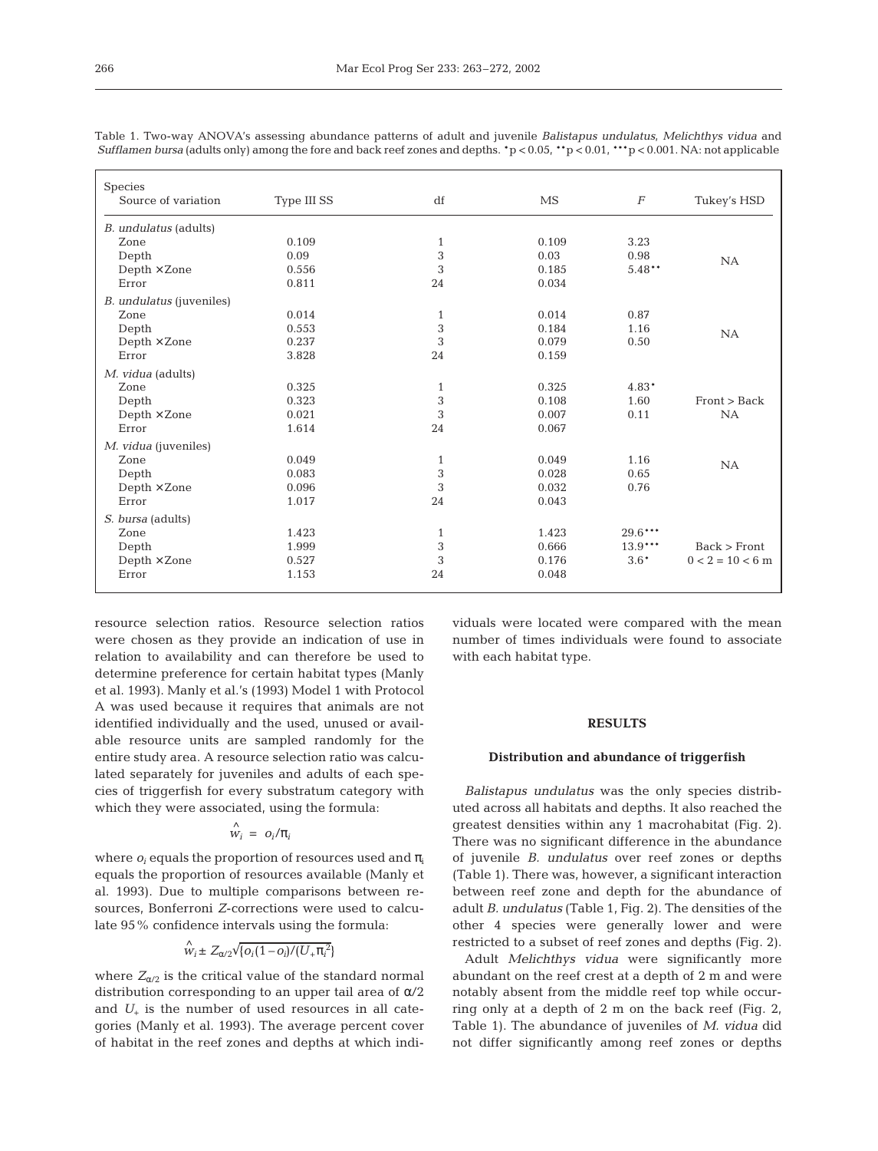| Species                         |             |              |       |                  |                    |
|---------------------------------|-------------|--------------|-------|------------------|--------------------|
| Source of variation             | Type III SS | df           | MS    | $\boldsymbol{F}$ | Tukey's HSD        |
| <i>B. undulatus</i> (adults)    |             |              |       |                  |                    |
| Zone                            | 0.109       | 1            | 0.109 | 3.23             |                    |
| Depth                           | 0.09        | 3            | 0.03  | 0.98             | NA                 |
| Depth $\times$ Zone             | 0.556       | 3            | 0.185 | $5.48**$         |                    |
| Error                           | 0.811       | 24           | 0.034 |                  |                    |
| <i>B. undulatus</i> (juveniles) |             |              |       |                  |                    |
| Zone                            | 0.014       | $\mathbf{1}$ | 0.014 | 0.87             |                    |
| Depth                           | 0.553       | 3            | 0.184 | 1.16             | <b>NA</b>          |
| $Depth \times Z$ one            | 0.237       | 3            | 0.079 | 0.50             |                    |
| Error                           | 3.828       | 24           | 0.159 |                  |                    |
| M. vidua (adults)               |             |              |       |                  |                    |
| Zone                            | 0.325       | $\mathbf{1}$ | 0.325 | 4.83*            |                    |
| Depth                           | 0.323       | 3            | 0.108 | 1.60             | Front > Back       |
| $Depth \times$ Zone             | 0.021       | 3            | 0.007 | 0.11             | NA                 |
| Error                           | 1.614       | 24           | 0.067 |                  |                    |
| M. vidua (juveniles)            |             |              |       |                  |                    |
| Zone                            | 0.049       | $\mathbf{1}$ | 0.049 | 1.16             | NA                 |
| Depth                           | 0.083       | 3            | 0.028 | 0.65             |                    |
| Depth $\times$ Zone             | 0.096       | 3            | 0.032 | 0.76             |                    |
| Error                           | 1.017       | 24           | 0.043 |                  |                    |
| S. bursa (adults)               |             |              |       |                  |                    |
| Zone                            | 1.423       | $\mathbf{1}$ | 1.423 | $29.6***$        |                    |
| Depth                           | 1.999       | $\,3$        | 0.666 | $13.9***$        | Back > Front       |
| $Depth \times Cone$             | 0.527       | 3            | 0.176 | $3.6*$           | $0 < 2 = 10 < 6$ m |
| Error                           | 1.153       | 24           | 0.048 |                  |                    |
|                                 |             |              |       |                  |                    |

Table 1. Two-way ANOVA's assessing abundance patterns of adult and juvenile *Balistapus undulatus*, *Melichthys vidua* and *Sufflamen bursa* (adults only) among the fore and back reef zones and depths.  $\gamma$   $> 0.05$ ,  $\gamma$   $> 0.01$ ,  $\gamma$   $\gamma$   $> 0.001$ . NA: not applicable

resource selection ratios. Resource selection ratios were chosen as they provide an indication of use in relation to availability and can therefore be used to determine preference for certain habitat types (Manly et al. 1993). Manly et al.'s (1993) Model 1 with Protocol A was used because it requires that animals are not identified individually and the used, unused or available resource units are sampled randomly for the entire study area. A resource selection ratio was calculated separately for juveniles and adults of each species of triggerfish for every substratum category with which they were associated, using the formula:

# $\hat{w}_i = o_i/\pi$

where  $o_i$  equals the proportion of resources used and  $\pi_i$ equals the proportion of resources available (Manly et al. 1993). Due to multiple comparisons between resources, Bonferroni *Z*-corrections were used to calculate 95% confidence intervals using the formula:

$$
\stackrel{\wedge}{w_i} \pm Z_{\alpha/2} \sqrt{\{o_i(1-o_i)/(U_{+}\pi_i^2)\}}
$$

where  $Z_{\alpha/2}$  is the critical value of the standard normal distribution corresponding to an upper tail area of α/2 and  $U_{+}$  is the number of used resources in all categories (Manly et al. 1993). The average percent cover of habitat in the reef zones and depths at which individuals were located were compared with the mean number of times individuals were found to associate with each habitat type.

### **RESULTS**

#### **Distribution and abundance of triggerfish**

*Balistapus undulatus* was the only species distributed across all habitats and depths. It also reached the greatest densities within any 1 macrohabitat (Fig. 2). There was no significant difference in the abundance of juvenile *B. undulatus* over reef zones or depths (Table 1). There was, however, a significant interaction between reef zone and depth for the abundance of adult *B. undulatus* (Table 1, Fig. 2). The densities of the other 4 species were generally lower and were restricted to a subset of reef zones and depths (Fig. 2).

Adult *Melichthys vidua* were significantly more abundant on the reef crest at a depth of 2 m and were notably absent from the middle reef top while occurring only at a depth of 2 m on the back reef (Fig. 2, Table 1). The abundance of juveniles of *M. vidua* did not differ significantly among reef zones or depths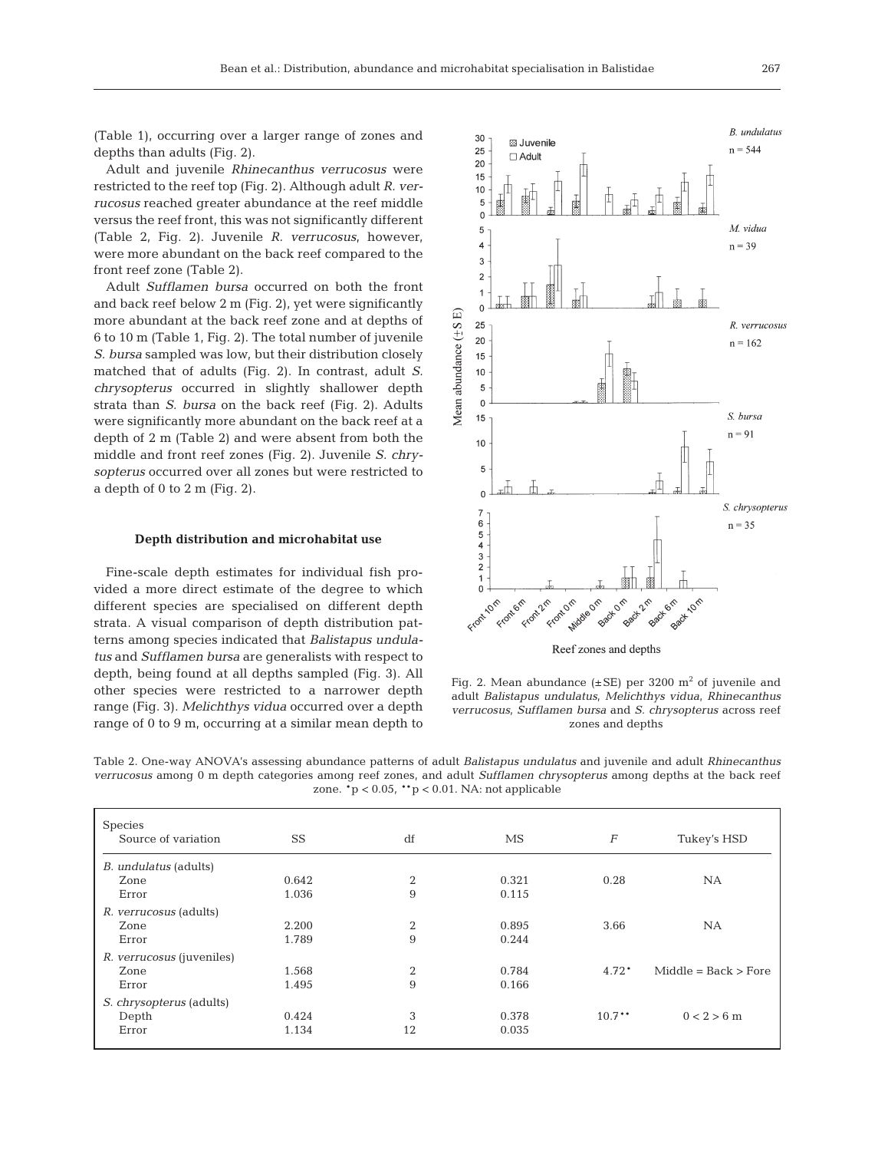(Table 1), occurring over a larger range of zones and depths than adults (Fig. 2).

Adult and juvenile *Rhinecanthus verrucosus* were restricted to the reef top (Fig. 2). Although adult *R. verrucosus* reached greater abundance at the reef middle versus the reef front, this was not significantly different (Table 2, Fig. 2). Juvenile *R. verrucosus*, however, were more abundant on the back reef compared to the front reef zone (Table 2).

Adult *Sufflamen bursa* occurred on both the front and back reef below 2 m (Fig. 2), yet were significantly more abundant at the back reef zone and at depths of 6 to 10 m (Table 1, Fig. 2). The total number of juvenile *S. bursa* sampled was low, but their distribution closely matched that of adults (Fig. 2). In contrast, adult *S. chrysopterus* occurred in slightly shallower depth strata than *S. bursa* on the back reef (Fig. 2). Adults were significantly more abundant on the back reef at a depth of 2 m (Table 2) and were absent from both the middle and front reef zones (Fig. 2). Juvenile *S. chrysopterus* occurred over all zones but were restricted to a depth of 0 to 2 m (Fig. 2).

#### **Depth distribution and microhabitat use**

Fine-scale depth estimates for individual fish provided a more direct estimate of the degree to which different species are specialised on different depth strata. A visual comparison of depth distribution patterns among species indicated that *Balistapus undulatus* and *Sufflamen bursa* are generalists with respect to depth, being found at all depths sampled (Fig. 3). All other species were restricted to a narrower depth range (Fig. 3). *Melichthys vidua* occurred over a depth range of 0 to 9 m, occurring at a similar mean depth to



Fig. 2. Mean abundance  $(\pm SE)$  per 3200 m<sup>2</sup> of juvenile and adult *Balistapus undulatus, Melichthys vidua, Rhinecanthus verrucosus, Sufflamen bursa* and *S. chrysopterus* across reef zones and depths

Table 2. One-way ANOVA's assessing abundance patterns of adult *Balistapus undulatus* and juvenile and adult *Rhinecanthus verrucosus* among 0 m depth categories among reef zones, and adult *Sufflamen chrysopterus* among depths at the back reef zone.  $p < 0.05$ ,  $p > 0.01$ . NA: not applicable

| Species                                   |           |                |       |                  |                         |
|-------------------------------------------|-----------|----------------|-------|------------------|-------------------------|
| Source of variation                       | <b>SS</b> | df             | MS    | $\boldsymbol{F}$ | Tukey's HSD             |
| <i>B. undulatus</i> (adults)              |           |                |       |                  |                         |
| Zone                                      | 0.642     | $\overline{2}$ | 0.321 | 0.28             | <b>NA</b>               |
| Error                                     | 1.036     | 9              | 0.115 |                  |                         |
| <i>R. verrucosus</i> (adults)             |           |                |       |                  |                         |
| Zone                                      | 2.200     | $\overline{2}$ | 0.895 | 3.66             | <b>NA</b>               |
| Error                                     | 1.789     | 9              | 0.244 |                  |                         |
| <i>R. verrucosus</i> ( <i>juveniles</i> ) |           |                |       |                  |                         |
| Zone                                      | 1.568     | $\overline{2}$ | 0.784 | $4.72*$          | $Middle = Back > Force$ |
| Error                                     | 1.495     | 9              | 0.166 |                  |                         |
| S. chrysopterus (adults)                  |           |                |       |                  |                         |
| Depth                                     | 0.424     | 3              | 0.378 | $10.7***$        | $0 < 2 > 6$ m           |
| Error                                     | 1.134     | 12             | 0.035 |                  |                         |
|                                           |           |                |       |                  |                         |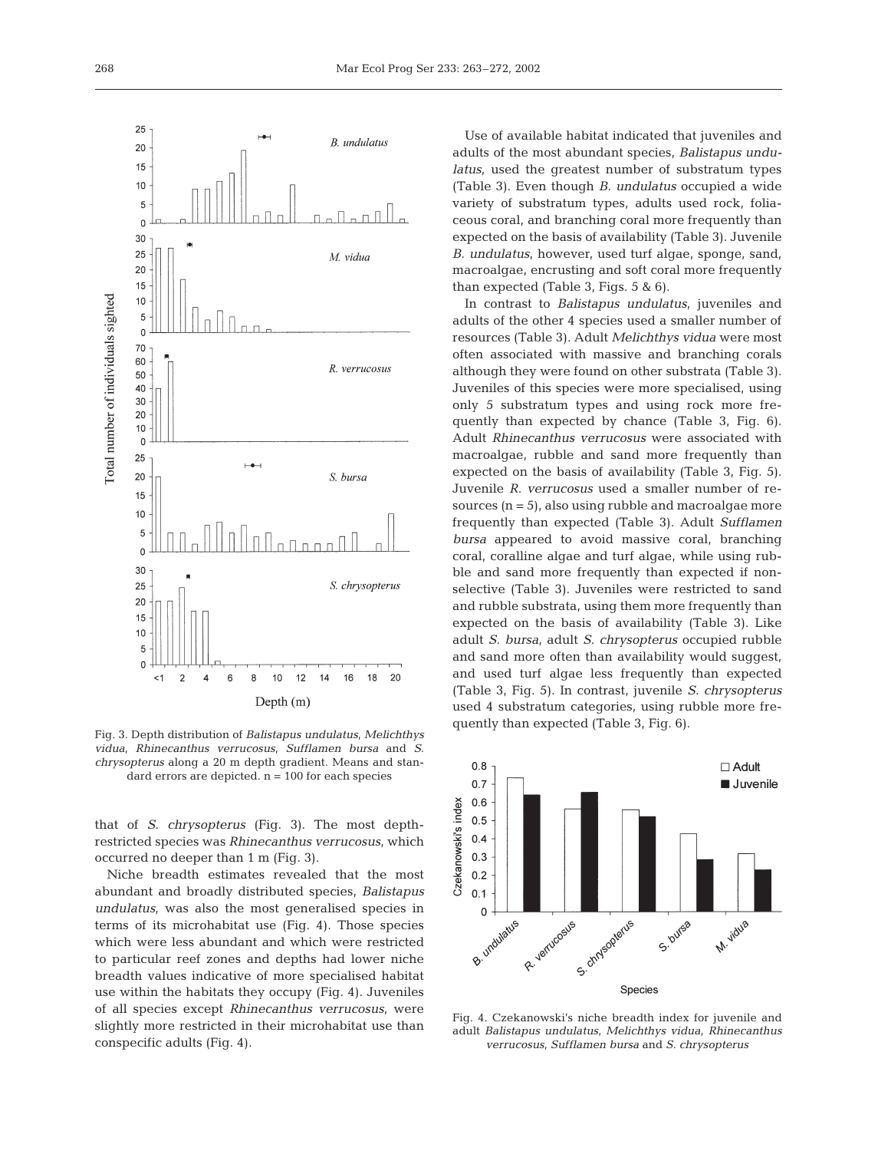

Fig. 3. Depth distribution of *Balistapus undulatus, Melichthys vidua, Rhinecanthus verrucosus, Sufflamen bursa* and *S. chrysopterus* along a 20 m depth gradient. Means and standard errors are depicted.  $n = 100$  for each species

that of *S. chrysopterus* (Fig. 3). The most depthrestricted species was *Rhinecanthus verrucosus,* which occurred no deeper than 1 m (Fig. 3).

Niche breadth estimates revealed that the most abundant and broadly distributed species, *Balistapus undulatus,* was also the most generalised species in terms of its microhabitat use (Fig. 4). Those species which were less abundant and which were restricted to particular reef zones and depths had lower niche breadth values indicative of more specialised habitat use within the habitats they occupy (Fig. 4). Juveniles of all species except *Rhinecanthus verrucosus,* were slightly more restricted in their microhabitat use than conspecific adults (Fig. 4).

Use of available habitat indicated that juveniles and adults of the most abundant species, *Balistapus undulatus*, used the greatest number of substratum types (Table 3). Even though *B. undulatus* occupied a wide variety of substratum types, adults used rock, foliaceous coral, and branching coral more frequently than expected on the basis of availability (Table 3). Juvenile *B. undulatus*, however, used turf algae, sponge, sand, macroalgae, encrusting and soft coral more frequently than expected (Table 3, Figs. 5 & 6).

In contrast to *Balistapus undulatus*, juveniles and adults of the other 4 species used a smaller number of resources (Table 3)*.* Adult *Melichthys vidua* were most often associated with massive and branching corals although they were found on other substrata (Table 3). Juveniles of this species were more specialised, using only 5 substratum types and using rock more frequently than expected by chance (Table 3, Fig. 6). Adult *Rhinecanthus verrucosus* were associated with macroalgae, rubble and sand more frequently than expected on the basis of availability (Table 3, Fig. 5). Juvenile *R. verrucosus* used a smaller number of resources  $(n = 5)$ , also using rubble and macroalgae more frequently than expected (Table 3). Adult *Sufflamen bursa* appeared to avoid massive coral, branching coral, coralline algae and turf algae, while using rubble and sand more frequently than expected if nonselective (Table 3). Juveniles were restricted to sand and rubble substrata, using them more frequently than expected on the basis of availability (Table 3). Like adult *S. bursa*, adult *S. chrysopterus* occupied rubble and sand more often than availability would suggest, and used turf algae less frequently than expected (Table 3, Fig. 5). In contrast, juvenile *S. chrysopterus* used 4 substratum categories, using rubble more frequently than expected (Table 3, Fig. 6).



Fig. 4. Czekanowski's niche breadth index for juvenile and adult *Balistapus undulatus, Melichthys vidua, Rhinecanthus verrucosus, Sufflamen bursa* and *S. chrysopterus*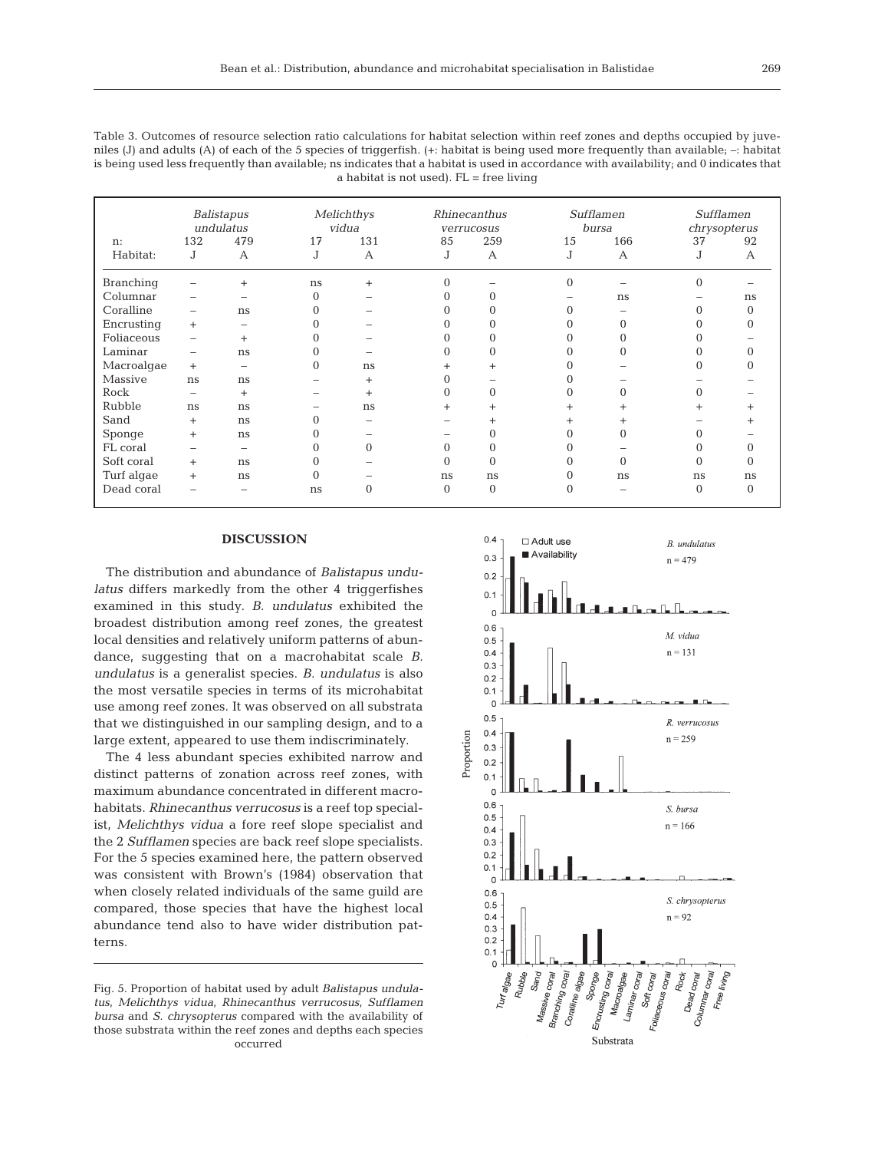| Table 3. Outcomes of resource selection ratio calculations for habitat selection within reef zones and depths occupied by juve-               |
|-----------------------------------------------------------------------------------------------------------------------------------------------|
| niles (J) and adults (A) of each of the 5 species of triggerfish. $(+)$ : habitat is being used more frequently than available; $-$ : habitat |
| is being used less frequently than available; ns indicates that a habitat is used in accordance with availability; and 0 indicates that       |
| a habitat is not used). $FL = free$ living                                                                                                    |

|                  | Balistapus<br>undulatus      |                          |          | Melichthys<br>vidua |           | Rhinecanthus<br>verrucosus |                | Sufflamen<br>bursa |                | Sufflamen<br>chrysopterus |  |
|------------------|------------------------------|--------------------------|----------|---------------------|-----------|----------------------------|----------------|--------------------|----------------|---------------------------|--|
| n:               | 132                          | 479                      | 17       | 131                 | 85<br>259 |                            | 15             | 166                | 37             | 92                        |  |
| Habitat:         | J                            | A                        | J        | $\mathsf{A}$        | J         | $\mathsf{A}$               | J              | $\mathbf{A}$       | J              | $\mathbf{A}$              |  |
| <b>Branching</b> |                              | $^{+}$                   | ns       | $^{+}$              | $\theta$  |                            | $\overline{0}$ |                    | $\overline{0}$ |                           |  |
| Columnar         | $\qquad \qquad \blacksquare$ | -                        | $\Omega$ |                     | 0         |                            |                | ns                 |                | ns                        |  |
| Coralline        | $\qquad \qquad \blacksquare$ | ns                       | 0        |                     |           |                            |                |                    |                | 0                         |  |
| Encrusting       | $+$                          | $\overline{\phantom{0}}$ | $\Omega$ |                     | 0         |                            |                |                    |                |                           |  |
| Foliaceous       |                              | $^{+}$                   | $\Omega$ |                     | 0         |                            |                |                    |                |                           |  |
| Laminar          | $\qquad \qquad -$            | ns                       | $\Omega$ |                     | 0         | 0                          |                |                    |                |                           |  |
| Macroalgae       | $+$                          | $\overline{\phantom{0}}$ | $\Omega$ | ns                  | $\ddot{}$ | $^{+}$                     |                |                    | 0              |                           |  |
| Massive          | ns                           | ns                       |          | $^{+}$              |           |                            |                |                    |                |                           |  |
| Rock             | $\overline{\phantom{a}}$     | $+$                      |          | $^{+}$              | $\Omega$  | $\Omega$                   |                |                    |                |                           |  |
| Rubble           | ns                           | ns                       |          | ns                  | $\ddot{}$ | $^{+}$                     |                |                    | $^{+}$         |                           |  |
| Sand             | $+$                          | ns                       | $\Omega$ |                     |           | $\ddot{}$                  |                |                    |                |                           |  |
| Sponge           | $^{+}$                       | ns                       | 0        |                     |           |                            |                |                    |                |                           |  |
| FL coral         | $\overline{\phantom{a}}$     | $\qquad \qquad$          | $\Omega$ | $\Omega$            | $\Omega$  | $\Omega$                   |                |                    | Ω              |                           |  |
| Soft coral       | $+$                          | ns                       | $\Omega$ |                     | $\Omega$  | $\Omega$                   |                |                    | $\Omega$       |                           |  |
| Turf algae       | $+$                          | ns                       | $\Omega$ |                     | ns        | ns                         | 0              | ns                 | ns             | ns                        |  |
| Dead coral       |                              | -                        | ns       | 0                   | $\Omega$  | $\Omega$                   | O              |                    | $\Omega$       | $\Omega$                  |  |

### **DISCUSSION**

The distribution and abundance of *Balistapus undulatus* differs markedly from the other 4 triggerfishes examined in this study. *B. undulatus* exhibited the broadest distribution among reef zones, the greatest local densities and relatively uniform patterns of abundance, suggesting that on a macrohabitat scale *B. undulatus* is a generalist species. *B. undulatus* is also the most versatile species in terms of its microhabitat use among reef zones. It was observed on all substrata that we distinguished in our sampling design, and to a large extent, appeared to use them indiscriminately.

The 4 less abundant species exhibited narrow and distinct patterns of zonation across reef zones, with maximum abundance concentrated in different macrohabitats. *Rhinecanthus verrucosus* is a reef top specialist, *Melichthys vidua* a fore reef slope specialist and the 2 *Sufflamen* species are back reef slope specialists. For the 5 species examined here, the pattern observed was consistent with Brown's (1984) observation that when closely related individuals of the same guild are compared, those species that have the highest local abundance tend also to have wider distribution patterns.

Fig. 5. Proportion of habitat used by adult *Balistapus undulatus, Melichthys vidua, Rhinecanthus verrucosus, Sufflamen bursa* and *S. chrysopterus* compared with the availability of those substrata within the reef zones and depths each species occurred

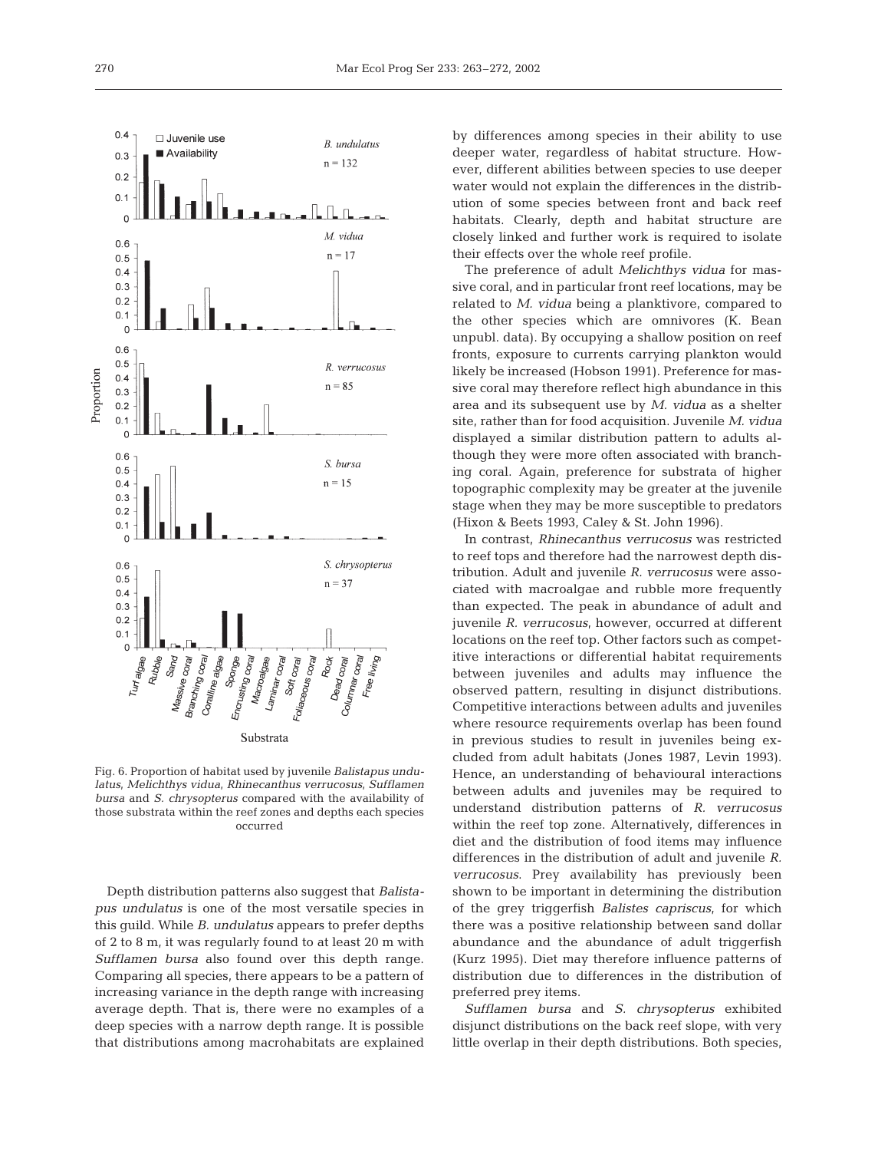

Fig. 6. Proportion of habitat used by juvenile *Balistapus undulatus, Melichthys vidua, Rhinecanthus verrucosus, Sufflamen bursa* and *S. chrysopterus* compared with the availability of those substrata within the reef zones and depths each species occurred

Depth distribution patterns also suggest that *Balistapus undulatus* is one of the most versatile species in this guild. While *B. undulatus* appears to prefer depths of 2 to 8 m, it was regularly found to at least 20 m with *Sufflamen bursa* also found over this depth range. Comparing all species, there appears to be a pattern of increasing variance in the depth range with increasing average depth. That is, there were no examples of a deep species with a narrow depth range. It is possible that distributions among macrohabitats are explained

by differences among species in their ability to use deeper water, regardless of habitat structure. However, different abilities between species to use deeper water would not explain the differences in the distribution of some species between front and back reef habitats. Clearly, depth and habitat structure are closely linked and further work is required to isolate their effects over the whole reef profile.

The preference of adult *Melichthys vidua* for massive coral, and in particular front reef locations, may be related to *M. vidua* being a planktivore, compared to the other species which are omnivores (K. Bean unpubl. data). By occupying a shallow position on reef fronts, exposure to currents carrying plankton would likely be increased (Hobson 1991). Preference for massive coral may therefore reflect high abundance in this area and its subsequent use by *M. vidua* as a shelter site, rather than for food acquisition. Juvenile *M. vidua* displayed a similar distribution pattern to adults although they were more often associated with branching coral. Again, preference for substrata of higher topographic complexity may be greater at the juvenile stage when they may be more susceptible to predators (Hixon & Beets 1993, Caley & St. John 1996).

In contrast, *Rhinecanthus verrucosus* was restricted to reef tops and therefore had the narrowest depth distribution. Adult and juvenile *R. verrucosus* were associated with macroalgae and rubble more frequently than expected. The peak in abundance of adult and juvenile *R. verrucosus*, however, occurred at different locations on the reef top. Other factors such as competitive interactions or differential habitat requirements between juveniles and adults may influence the observed pattern, resulting in disjunct distributions. Competitive interactions between adults and juveniles where resource requirements overlap has been found in previous studies to result in juveniles being excluded from adult habitats (Jones 1987, Levin 1993). Hence, an understanding of behavioural interactions between adults and juveniles may be required to understand distribution patterns of *R. verrucosus* within the reef top zone. Alternatively, differences in diet and the distribution of food items may influence differences in the distribution of adult and juvenile *R. verrucosus*. Prey availability has previously been shown to be important in determining the distribution of the grey triggerfish *Balistes capriscus*, for which there was a positive relationship between sand dollar abundance and the abundance of adult triggerfish (Kurz 1995). Diet may therefore influence patterns of distribution due to differences in the distribution of preferred prey items.

*Sufflamen bursa* and *S. chrysopterus* exhibited disjunct distributions on the back reef slope, with very little overlap in their depth distributions. Both species,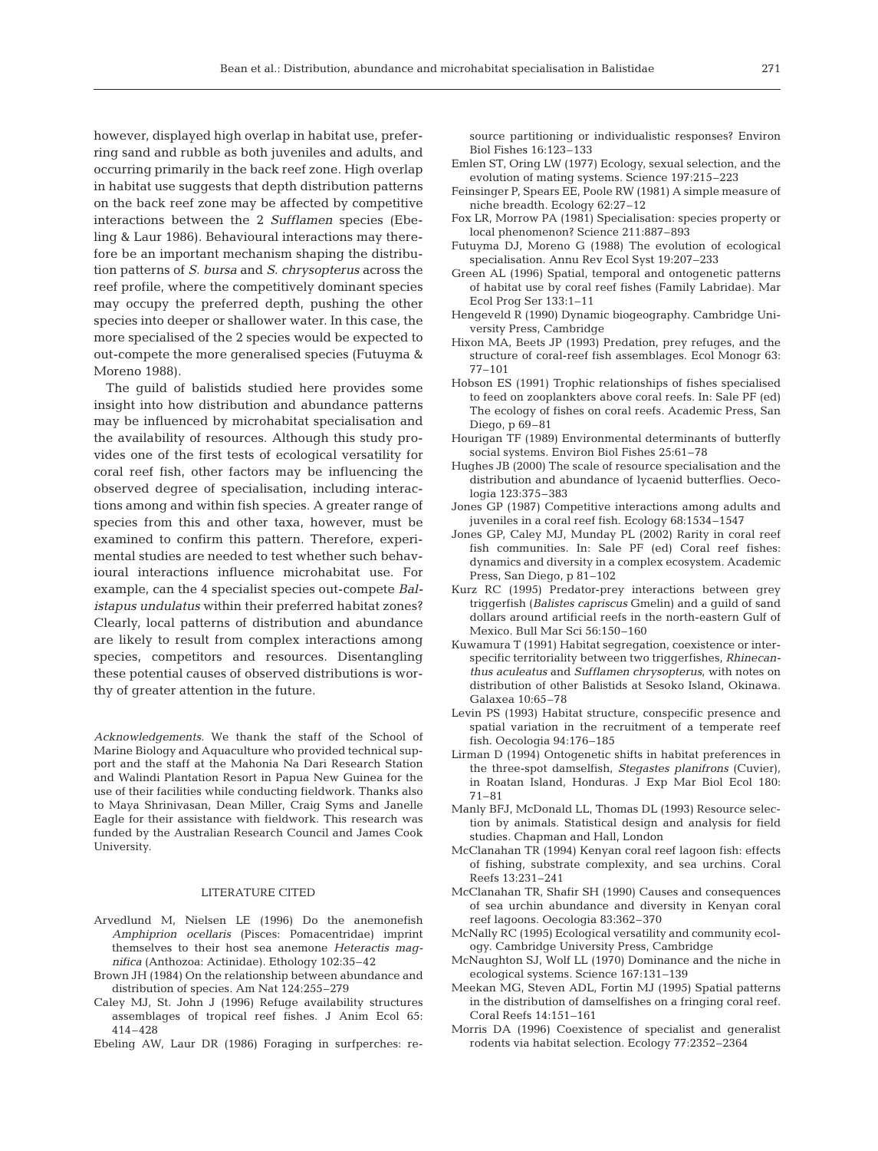however, displayed high overlap in habitat use, preferring sand and rubble as both juveniles and adults, and occurring primarily in the back reef zone. High overlap in habitat use suggests that depth distribution patterns on the back reef zone may be affected by competitive interactions between the 2 *Sufflamen* species (Ebeling & Laur 1986). Behavioural interactions may therefore be an important mechanism shaping the distribution patterns of *S. bursa* and *S. chrysopterus* across the reef profile, where the competitively dominant species may occupy the preferred depth, pushing the other species into deeper or shallower water. In this case, the more specialised of the 2 species would be expected to out-compete the more generalised species (Futuyma & Moreno 1988).

The guild of balistids studied here provides some insight into how distribution and abundance patterns may be influenced by microhabitat specialisation and the availability of resources. Although this study provides one of the first tests of ecological versatility for coral reef fish, other factors may be influencing the observed degree of specialisation, including interactions among and within fish species. A greater range of species from this and other taxa, however, must be examined to confirm this pattern. Therefore, experimental studies are needed to test whether such behavioural interactions influence microhabitat use. For example, can the 4 specialist species out-compete *Balistapus undulatus* within their preferred habitat zones? Clearly, local patterns of distribution and abundance are likely to result from complex interactions among species, competitors and resources. Disentangling these potential causes of observed distributions is worthy of greater attention in the future.

*Acknowledgements.* We thank the staff of the School of Marine Biology and Aquaculture who provided technical support and the staff at the Mahonia Na Dari Research Station and Walindi Plantation Resort in Papua New Guinea for the use of their facilities while conducting fieldwork. Thanks also to Maya Shrinivasan, Dean Miller, Craig Syms and Janelle Eagle for their assistance with fieldwork. This research was funded by the Australian Research Council and James Cook University.

#### LITERATURE CITED

- Arvedlund M, Nielsen LE (1996) Do the anemonefish *Amphiprion ocellaris* (Pisces: Pomacentridae) imprint themselves to their host sea anemone *Heteractis magnifica* (Anthozoa: Actinidae). Ethology 102:35–42
- Brown JH (1984) On the relationship between abundance and distribution of species. Am Nat 124:255–279
- Caley MJ, St. John J (1996) Refuge availability structures assemblages of tropical reef fishes. J Anim Ecol 65: 414–428
- Ebeling AW, Laur DR (1986) Foraging in surfperches: re-

source partitioning or individualistic responses? Environ Biol Fishes 16:123–133

- Emlen ST, Oring LW (1977) Ecology, sexual selection, and the evolution of mating systems. Science 197:215–223
- Feinsinger P, Spears EE, Poole RW (1981) A simple measure of niche breadth. Ecology 62:27–12
- Fox LR, Morrow PA (1981) Specialisation: species property or local phenomenon? Science 211:887–893
- Futuyma DJ, Moreno G (1988) The evolution of ecological specialisation. Annu Rev Ecol Syst 19:207–233
- Green AL (1996) Spatial, temporal and ontogenetic patterns of habitat use by coral reef fishes (Family Labridae). Mar Ecol Prog Ser 133:1–11
- Hengeveld R (1990) Dynamic biogeography. Cambridge University Press, Cambridge
- Hixon MA, Beets JP (1993) Predation, prey refuges, and the structure of coral-reef fish assemblages. Ecol Monogr 63: 77–101
- Hobson ES (1991) Trophic relationships of fishes specialised to feed on zooplankters above coral reefs. In: Sale PF (ed) The ecology of fishes on coral reefs*.* Academic Press, San Diego, p 69–81
- Hourigan TF (1989) Environmental determinants of butterfly social systems. Environ Biol Fishes 25:61–78
- Hughes JB (2000) The scale of resource specialisation and the distribution and abundance of lycaenid butterflies. Oecologia 123:375–383
- Jones GP (1987) Competitive interactions among adults and juveniles in a coral reef fish. Ecology 68:1534–1547
- Jones GP, Caley MJ, Munday PL (2002) Rarity in coral reef fish communities. In: Sale PF (ed) Coral reef fishes: dynamics and diversity in a complex ecosystem*.* Academic Press, San Diego, p 81–102
- Kurz RC (1995) Predator-prey interactions between grey triggerfish (*Balistes capriscus* Gmelin) and a guild of sand dollars around artificial reefs in the north-eastern Gulf of Mexico. Bull Mar Sci 56:150–160
- Kuwamura T (1991) Habitat segregation, coexistence or interspecific territoriality between two triggerfishes, *Rhinecanthus aculeatus* and *Sufflamen chrysopterus*, with notes on distribution of other Balistids at Sesoko Island, Okinawa. Galaxea 10:65–78
- Levin PS (1993) Habitat structure, conspecific presence and spatial variation in the recruitment of a temperate reef fish. Oecologia 94:176–185
- Lirman D (1994) Ontogenetic shifts in habitat preferences in the three-spot damselfish, *Stegastes planifrons* (Cuvier), in Roatan Island, Honduras. J Exp Mar Biol Ecol 180: 71–81
- Manly BFJ, McDonald LL, Thomas DL (1993) Resource selection by animals. Statistical design and analysis for field studies*.* Chapman and Hall, London
- McClanahan TR (1994) Kenyan coral reef lagoon fish: effects of fishing, substrate complexity, and sea urchins. Coral Reefs 13:231–241
- McClanahan TR, Shafir SH (1990) Causes and consequences of sea urchin abundance and diversity in Kenyan coral reef lagoons. Oecologia 83:362–370
- McNally RC (1995) Ecological versatility and community ecology. Cambridge University Press, Cambridge
- McNaughton SJ, Wolf LL (1970) Dominance and the niche in ecological systems. Science 167:131–139
- Meekan MG, Steven ADL, Fortin MJ (1995) Spatial patterns in the distribution of damselfishes on a fringing coral reef. Coral Reefs 14:151–161
- Morris DA (1996) Coexistence of specialist and generalist rodents via habitat selection. Ecology 77:2352–2364